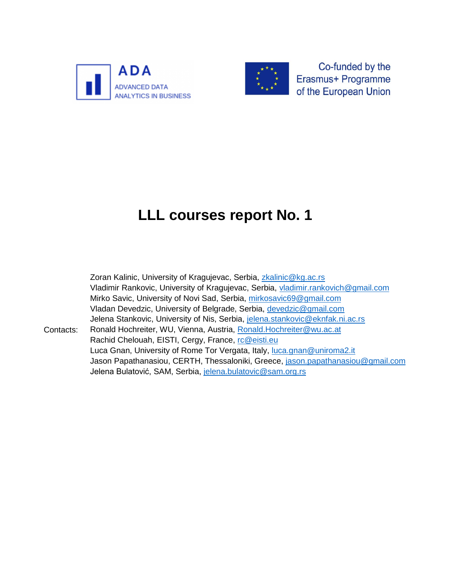



Co-funded by the Erasmus+ Programme of the European Union

# **LLL courses report No. 1**

Contacts: Zoran Kalinic, University of Kragujevac, Serbia, [zkalinic@kg.ac.rs](mailto:zkalinic@kg.ac.rs) Vladimir Rankovic, University of Kragujevac, Serbia, [vladimir.rankovich@gmail.com](mailto:vladimir.rankovich@gmail.com) Mirko Savic, University of Novi Sad, Serbia, [mirkosavic69@gmail.com](mailto:mirkosavic69@gmail.com) Vladan Devedzic, University of Belgrade, Serbia, [devedzic@gmail.com](mailto:devedzic@gmail.com) Jelena Stankovic, University of Nis, Serbia, [jelena.stankovic@eknfak.ni.ac.rs](mailto:jelena.stankovic@eknfak.ni.ac.rs) Ronald Hochreiter, WU, Vienna, Austria, [Ronald.Hochreiter@wu.ac.at](mailto:Ronald.Hochreiter@wu.ac.at) Rachid Chelouah, EISTI, Cergy, France, [rc@eisti.eu](mailto:rc@eisti.eu) Luca Gnan, University of Rome Tor Vergata, Italy, [luca.gnan@uniroma2.it](mailto:luca.gnan@uniroma2.it) Jason Papathanasiou, CERTH, Thessaloniki, Greece, [jason.papathanasiou@gmail.com](mailto:jason.papathanasiou@gmail.com) Jelena Bulatović, SAM, Serbia, [jelena.bulatovic@sam.org.rs](mailto:jelena.bulatovic@sam.org.rs)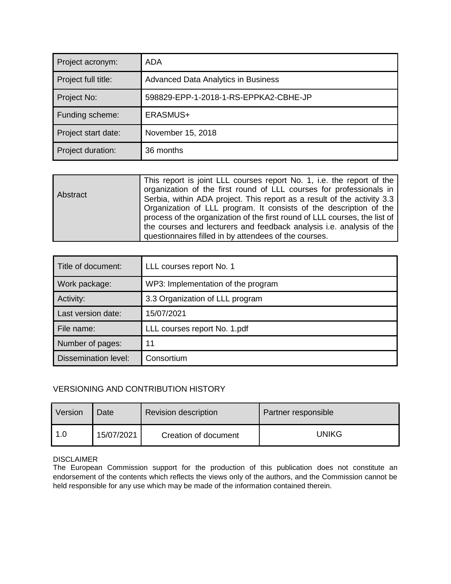| Project acronym:    | ADA                                        |
|---------------------|--------------------------------------------|
| Project full title: | <b>Advanced Data Analytics in Business</b> |
| Project No:         | 598829-EPP-1-2018-1-RS-EPPKA2-CBHE-JP      |
| Funding scheme:     | ERASMUS+                                   |
| Project start date: | November 15, 2018                          |
| Project duration:   | 36 months                                  |

| Abstract | This report is joint LLL courses report No. 1, i.e. the report of the<br>organization of the first round of LLL courses for professionals in<br>Serbia, within ADA project. This report as a result of the activity 3.3<br>Organization of LLL program. It consists of the description of the |
|----------|-----------------------------------------------------------------------------------------------------------------------------------------------------------------------------------------------------------------------------------------------------------------------------------------------|
|          | process of the organization of the first round of LLL courses, the list of<br>the courses and lecturers and feedback analysis i.e. analysis of the                                                                                                                                            |
|          | questionnaires filled in by attendees of the courses.                                                                                                                                                                                                                                         |

| Title of document:          | LLL courses report No. 1           |
|-----------------------------|------------------------------------|
| Work package:               | WP3: Implementation of the program |
| Activity:                   | 3.3 Organization of LLL program    |
| Last version date:          | 15/07/2021                         |
| File name:                  | LLL courses report No. 1.pdf       |
| Number of pages:            | 11                                 |
| <b>Dissemination level:</b> | Consortium                         |

#### VERSIONING AND CONTRIBUTION HISTORY

| Version | Date       | <b>Revision description</b> | Partner responsible |  |  |  |
|---------|------------|-----------------------------|---------------------|--|--|--|
| 1.0     | 15/07/2021 | Creation of document        | UNIKG               |  |  |  |

#### DISCLAIMER

The European Commission support for the production of this publication does not constitute an endorsement of the contents which reflects the views only of the authors, and the Commission cannot be held responsible for any use which may be made of the information contained therein.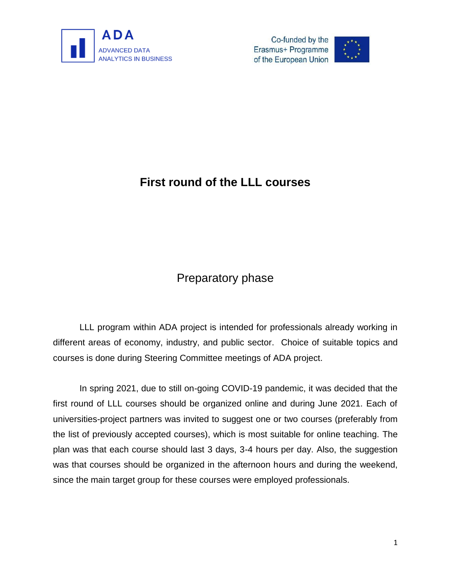

Co-funded by the Erasmus+ Programme of the European Union



## **First round of the LLL courses**

## Preparatory phase

LLL program within ADA project is intended for professionals already working in different areas of economy, industry, and public sector. Choice of suitable topics and courses is done during Steering Committee meetings of ADA project.

In spring 2021, due to still on-going COVID-19 pandemic, it was decided that the first round of LLL courses should be organized online and during June 2021. Each of universities-project partners was invited to suggest one or two courses (preferably from the list of previously accepted courses), which is most suitable for online teaching. The plan was that each course should last 3 days, 3-4 hours per day. Also, the suggestion was that courses should be organized in the afternoon hours and during the weekend, since the main target group for these courses were employed professionals.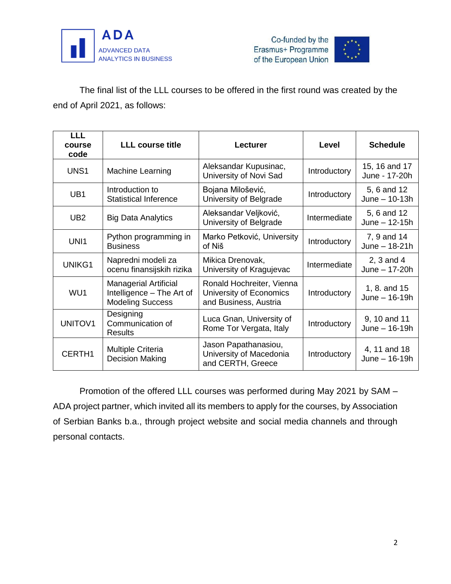



The final list of the LLL courses to be offered in the first round was created by the end of April 2021, as follows:

| LLL<br>course<br>code | <b>LLL course title</b>                                                              | <b>Lecturer</b>                                                               | Level        | <b>Schedule</b>                  |
|-----------------------|--------------------------------------------------------------------------------------|-------------------------------------------------------------------------------|--------------|----------------------------------|
| UNS1                  | <b>Machine Learning</b>                                                              | Aleksandar Kupusinac,<br>University of Novi Sad                               | Introductory | 15, 16 and 17<br>June - 17-20h   |
| UB1                   | Introduction to<br><b>Statistical Inference</b>                                      | Bojana Milošević,<br>University of Belgrade                                   | Introductory | 5, 6 and 12<br>June $-$ 10-13h   |
| UB <sub>2</sub>       | <b>Big Data Analytics</b>                                                            | Aleksandar Veljković,<br>University of Belgrade                               | Intermediate | 5, 6 and 12<br>June $-12-15h$    |
| UNI1                  | Python programming in<br><b>Business</b>                                             | Marko Petković, University<br>of Niš                                          | Introductory | 7, 9 and 14<br>June $-18-21h$    |
| UNIKG1                | Napredni modeli za<br>ocenu finansijskih rizika                                      | Mikica Drenovak,<br>University of Kragujevac                                  | Intermediate | 2, $3$ and $4$<br>June $-17-20h$ |
| WU1                   | <b>Managerial Artificial</b><br>Intelligence - The Art of<br><b>Modeling Success</b> | Ronald Hochreiter, Vienna<br>University of Economics<br>and Business, Austria | Introductory | 1, 8. and 15<br>June $-$ 16-19h  |
| <b>UNITOV1</b>        | Designing<br>Communication of<br><b>Results</b>                                      | Luca Gnan, University of<br>Rome Tor Vergata, Italy                           | Introductory | 9, 10 and 11<br>June $-16-19h$   |
| CERTH1                | <b>Multiple Criteria</b><br><b>Decision Making</b>                                   | Jason Papathanasiou,<br>University of Macedonia<br>and CERTH, Greece          | Introductory | 4, 11 and 18<br>June $-16-19h$   |

Promotion of the offered LLL courses was performed during May 2021 by SAM – ADA project partner, which invited all its members to apply for the courses, by Association of Serbian Banks b.a., through project website and social media channels and through personal contacts.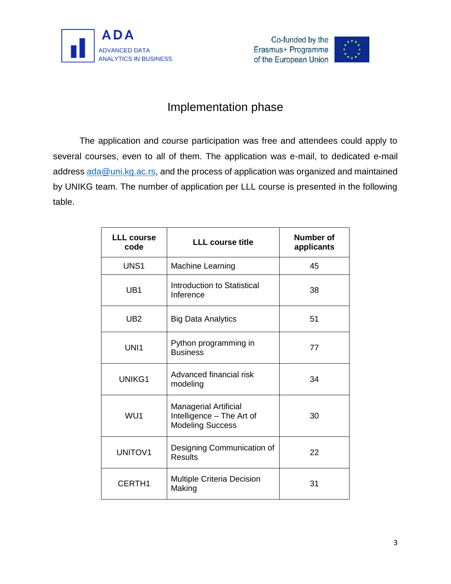



## Implementation phase

The application and course participation was free and attendees could apply to several courses, even to all of them. The application was e-mail, to dedicated e-mail address [ada@uni.kg.ac.rs,](mailto:ada@uni.kg.ac.rs) and the process of application was organized and maintained by UNIKG team. The number of application per LLL course is presented in the following table.

| <b>LLL course</b><br>code | <b>LLL course title</b>                                                              | <b>Number of</b><br>applicants |
|---------------------------|--------------------------------------------------------------------------------------|--------------------------------|
| UNS <sub>1</sub>          | <b>Machine Learning</b>                                                              | 45                             |
| UB <sub>1</sub>           | Introduction to Statistical<br>Inference                                             | 38                             |
| UB <sub>2</sub>           | <b>Big Data Analytics</b>                                                            | 51                             |
| UNI1                      | Python programming in<br><b>Business</b>                                             | 77                             |
| UNIKG1                    | Advanced financial risk<br>modeling                                                  | 34                             |
| WU1                       | <b>Managerial Artificial</b><br>Intelligence - The Art of<br><b>Modeling Success</b> | 30                             |
| <b>UNITOV1</b>            | Designing Communication of<br><b>Results</b>                                         | 22                             |
| CERTH1                    | <b>Multiple Criteria Decision</b><br>Making                                          | 31                             |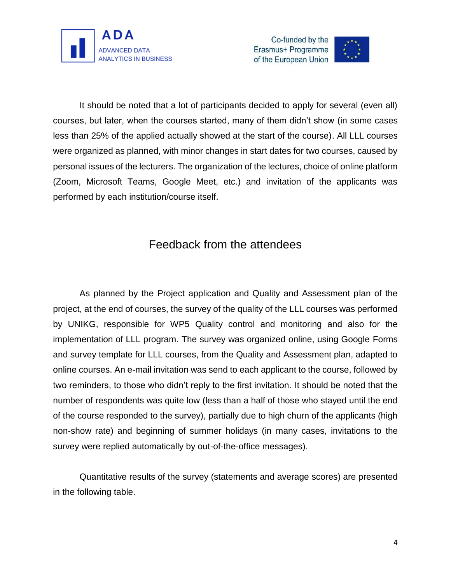



It should be noted that a lot of participants decided to apply for several (even all) courses, but later, when the courses started, many of them didn't show (in some cases less than 25% of the applied actually showed at the start of the course). All LLL courses were organized as planned, with minor changes in start dates for two courses, caused by personal issues of the lecturers. The organization of the lectures, choice of online platform (Zoom, Microsoft Teams, Google Meet, etc.) and invitation of the applicants was performed by each institution/course itself.

## Feedback from the attendees

As planned by the Project application and Quality and Assessment plan of the project, at the end of courses, the survey of the quality of the LLL courses was performed by UNIKG, responsible for WP5 Quality control and monitoring and also for the implementation of LLL program. The survey was organized online, using Google Forms and survey template for LLL courses, from the Quality and Assessment plan, adapted to online courses. An e-mail invitation was send to each applicant to the course, followed by two reminders, to those who didn't reply to the first invitation. It should be noted that the number of respondents was quite low (less than a half of those who stayed until the end of the course responded to the survey), partially due to high churn of the applicants (high non-show rate) and beginning of summer holidays (in many cases, invitations to the survey were replied automatically by out-of-the-office messages).

Quantitative results of the survey (statements and average scores) are presented in the following table.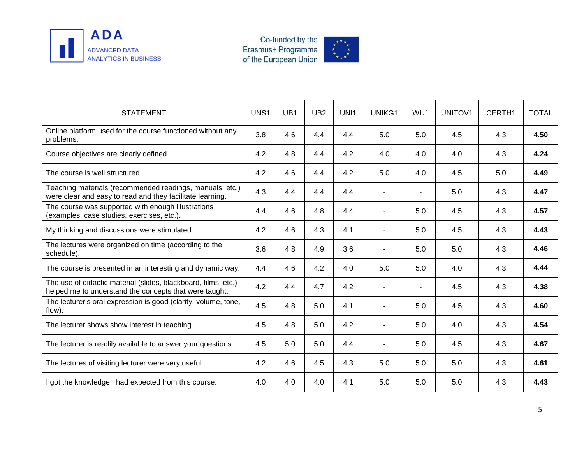

Co-funded by the<br>Erasmus+ Programme<br>of the European Union



| <b>STATEMENT</b>                                                                                                         | UNS1 | UB <sub>1</sub> | UB <sub>2</sub> | UNI1 | UNIKG1         | WU1 | <b>UNITOV1</b> | CERTH1 | <b>TOTAL</b> |
|--------------------------------------------------------------------------------------------------------------------------|------|-----------------|-----------------|------|----------------|-----|----------------|--------|--------------|
| Online platform used for the course functioned without any<br>problems.                                                  | 3.8  | 4.6             | 4.4             | 4.4  | 5.0            | 5.0 | 4.5            | 4.3    | 4.50         |
| Course objectives are clearly defined.                                                                                   | 4.2  | 4.8             | 4.4             | 4.2  | 4.0            | 4.0 | 4.0            | 4.3    | 4.24         |
| The course is well structured.                                                                                           | 4.2  | 4.6             | 4.4             | 4.2  | 5.0            | 4.0 | 4.5            | 5.0    | 4.49         |
| Teaching materials (recommended readings, manuals, etc.)<br>were clear and easy to read and they facilitate learning.    | 4.3  | 4.4             | 4.4             | 4.4  |                |     | 5.0            | 4.3    | 4.47         |
| The course was supported with enough illustrations<br>(examples, case studies, exercises, etc.).                         | 4.4  | 4.6             | 4.8             | 4.4  |                | 5.0 | 4.5            | 4.3    | 4.57         |
| My thinking and discussions were stimulated.                                                                             | 4.2  | 4.6             | 4.3             | 4.1  | $\overline{a}$ | 5.0 | 4.5            | 4.3    | 4.43         |
| The lectures were organized on time (according to the<br>schedule).                                                      | 3.6  | 4.8             | 4.9             | 3.6  | $\overline{a}$ | 5.0 | 5.0            | 4.3    | 4.46         |
| The course is presented in an interesting and dynamic way.                                                               | 4.4  | 4.6             | 4.2             | 4.0  | 5.0            | 5.0 | 4.0            | 4.3    | 4.44         |
| The use of didactic material (slides, blackboard, films, etc.)<br>helped me to understand the concepts that were taught. | 4.2  | 4.4             | 4.7             | 4.2  |                |     | 4.5            | 4.3    | 4.38         |
| The lecturer's oral expression is good (clarity, volume, tone,<br>flow).                                                 | 4.5  | 4.8             | 5.0             | 4.1  |                | 5.0 | 4.5            | 4.3    | 4.60         |
| The lecturer shows show interest in teaching.                                                                            | 4.5  | 4.8             | 5.0             | 4.2  |                | 5.0 | 4.0            | 4.3    | 4.54         |
| The lecturer is readily available to answer your questions.                                                              | 4.5  | 5.0             | 5.0             | 4.4  |                | 5.0 | 4.5            | 4.3    | 4.67         |
| The lectures of visiting lecturer were very useful.                                                                      | 4.2  | 4.6             | 4.5             | 4.3  | 5.0            | 5.0 | 5.0            | 4.3    | 4.61         |
| I got the knowledge I had expected from this course.                                                                     | 4.0  | 4.0             | 4.0             | 4.1  | 5.0            | 5.0 | 5.0            | 4.3    | 4.43         |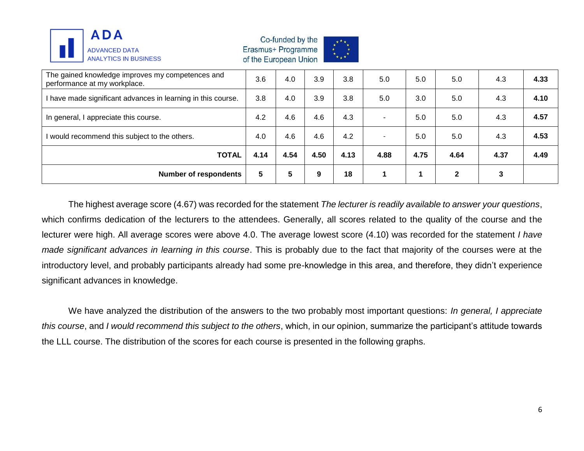

Co-funded by the Erasmus+ Programme of the European Union



| The gained knowledge improves my competences and<br>performance at my workplace. | 3.6  | 4.0  | 3.9  | 3.8  | 5.0                      | 5.0  | 5.0          | 4.3  | 4.33 |
|----------------------------------------------------------------------------------|------|------|------|------|--------------------------|------|--------------|------|------|
| I have made significant advances in learning in this course.                     | 3.8  | 4.0  | 3.9  | 3.8  | 5.0                      | 3.0  | 5.0          | 4.3  | 4.10 |
| In general, I appreciate this course.                                            | 4.2  | 4.6  | 4.6  | 4.3  | ۰                        | 5.0  | 5.0          | 4.3  | 4.57 |
| I would recommend this subject to the others.                                    |      | 4.6  | 4.6  | 4.2  | $\overline{\phantom{a}}$ | 5.0  | 5.0          | 4.3  | 4.53 |
| <b>TOTAL</b>                                                                     | 4.14 | 4.54 | 4.50 | 4.13 | 4.88                     | 4.75 | 4.64         | 4.37 | 4.49 |
| <b>Number of respondents</b>                                                     | 5    | 5    | 9    | 18   |                          |      | $\mathbf{2}$ | 3    |      |

The highest average score (4.67) was recorded for the statement *The lecturer is readily available to answer your questions*, which confirms dedication of the lecturers to the attendees. Generally, all scores related to the quality of the course and the lecturer were high. All average scores were above 4.0. The average lowest score (4.10) was recorded for the statement *I have made significant advances in learning in this course*. This is probably due to the fact that majority of the courses were at the introductory level, and probably participants already had some pre-knowledge in this area, and therefore, they didn't experience significant advances in knowledge.

We have analyzed the distribution of the answers to the two probably most important questions: *In general, I appreciate this course*, and *I would recommend this subject to the others*, which, in our opinion, summarize the participant's attitude towards the LLL course. The distribution of the scores for each course is presented in the following graphs.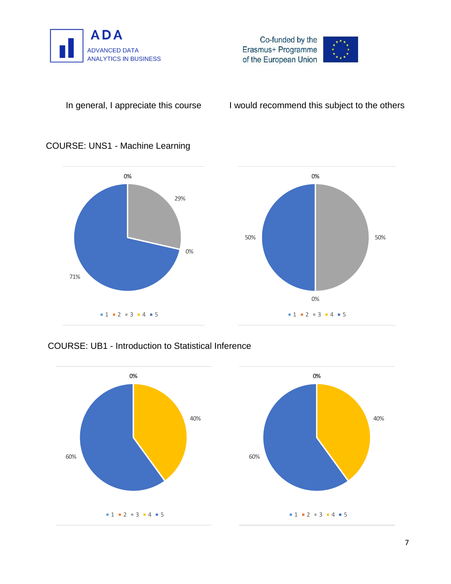



### COURSE: UNS1 - Machine Learning



### COURSE: UB1 - Introduction to Statistical Inference

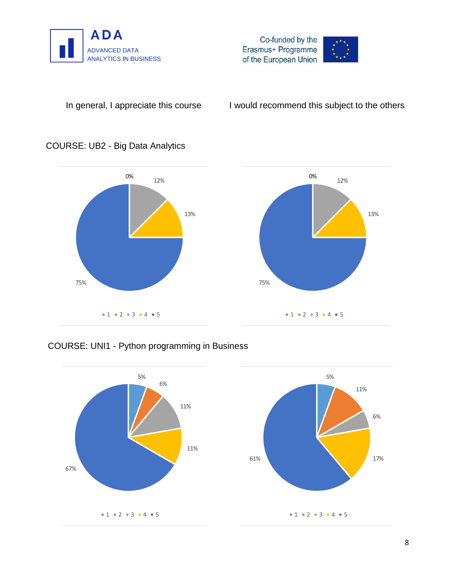



### COURSE: UB2 - Big Data Analytics



### COURSE: UNI1 - Python programming in Business

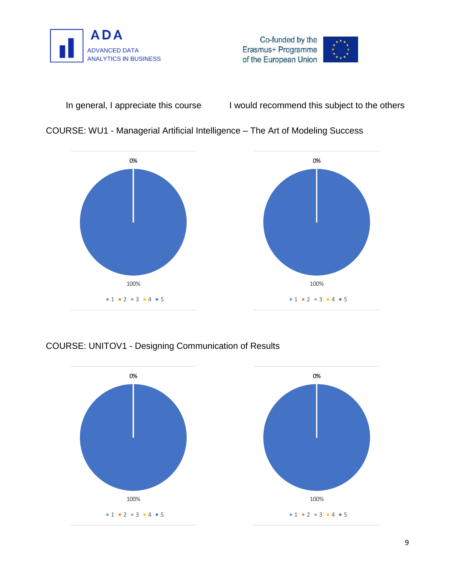







### COURSE: UNITOV1 - Designing Communication of Results

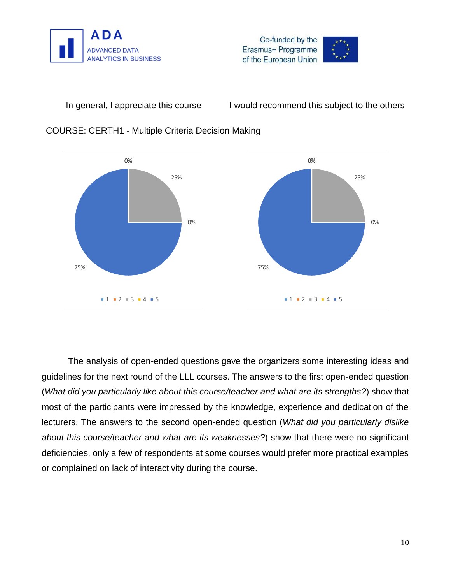





#### COURSE: CERTH1 - Multiple Criteria Decision Making

The analysis of open-ended questions gave the organizers some interesting ideas and guidelines for the next round of the LLL courses. The answers to the first open-ended question (*What did you particularly like about this course/teacher and what are its strengths?*) show that most of the participants were impressed by the knowledge, experience and dedication of the lecturers. The answers to the second open-ended question (*What did you particularly dislike about this course/teacher and what are its weaknesses?*) show that there were no significant deficiencies, only a few of respondents at some courses would prefer more practical examples or complained on lack of interactivity during the course.